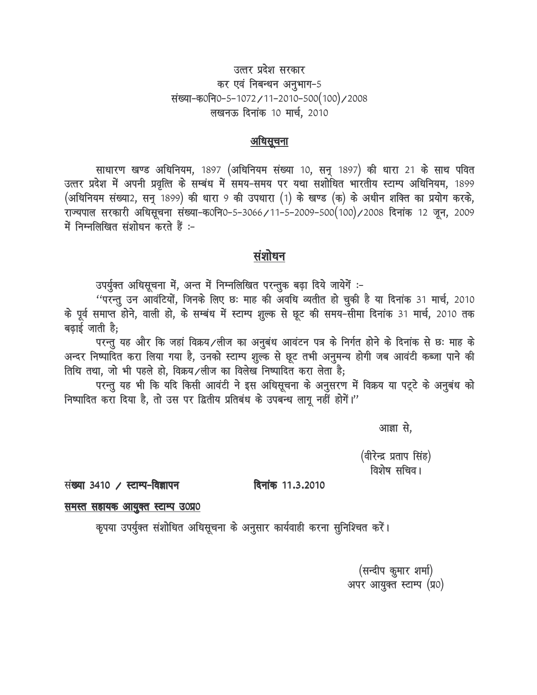# उत्तर प्रदेश सरकार कर एवं निबन्धन अनुभाग-5 संख्या-क0नि0-5-1072/11-2010-500(100)/2008 लखनऊ दिनांक 10 मार्च, 2010

### <u>अधिसूचना</u>

साधारण खण्ड अधिनियम, 1897 (अधिनियम संख्या 10, सन् 1897) की धारा 21 के साथ पवित उत्तर प्रदेश में अपनी प्रवृत्ति के सम्बंध में समय-समय पर यथा सशोधित भारतीय स्टाम्प अधिनियम, 1899 (अधिनियम संख्या2, सनु 1899) की धारा 9 की उपधारा (1) के खण्ड (क) के अधीन शक्ति का प्रयोग करके, राज्यपाल सरकारी अधिसूचना संख्या-क0नि0-5-3066/11-5-2009-500(100)/2008 दिनांक 12 जून, 2009 में निम्नलिखित संशोधन करते हैं:-

### <u>संशोधन</u>

उपर्युक्त अधिसूचना में, अन्त में निम्नलिखित परन्तुक बढ़ा दिये जायेगें :-

"परन्तु उन आवंटियों, जिनके लिए छः माह की अवधि व्यतीत हो चुकी है या दिनांक 31 मार्च, 2010 के पूर्व समाप्त होने, वाली हो, के सम्बंध में स्टाम्प श़ूल्क से छूट की समय-सीमा दिनांक 31 मार्च, 2010 तक बढ़ाई जाती है;

परन्तु यह और कि जहां विक्रय/लीज का अनुबंध आवंटन पत्र के निर्गत होने के दिनांक से छः माह के अन्दर निष्पादित करा लिया गया है, उनको स्टाम्प श़ूल्क से छूट तभी अनुमन्य होगी जब आवंटी कब्जा पाने की तिथि तथा, जो भी पहले हो, विक्रय/लीज का विलेख निष्पादित करा लेता है;

परन्तु यह भी कि यदि किसी आवंटी ने इस अधिसूचना के अनुसरण में विक्रय या पटूटे के अनुबंध को निष्पादित करा दिया है, तो उस पर द्वितीय प्रतिबंध के उपबन्ध लागू नहीं होगें।"

आज्ञा से.

(वीरेन्द्र प्रताप सिंह) विशेष सचिव।

संख्या 3410 / स्टाम्प-विज्ञापन

दिनांक 11.3.2010

#### <u>समस्त सहायक आयुक्त स्टाम्प उ०प्र०</u>

कृपया उपर्युक्त संशोधित अधिसूचना के अनुसार कार्यवाही करना सुनिश्चित करें।

(सन्दीप कुमार शर्मा) अपर आयुक्त स्टाम्प (प्र०)